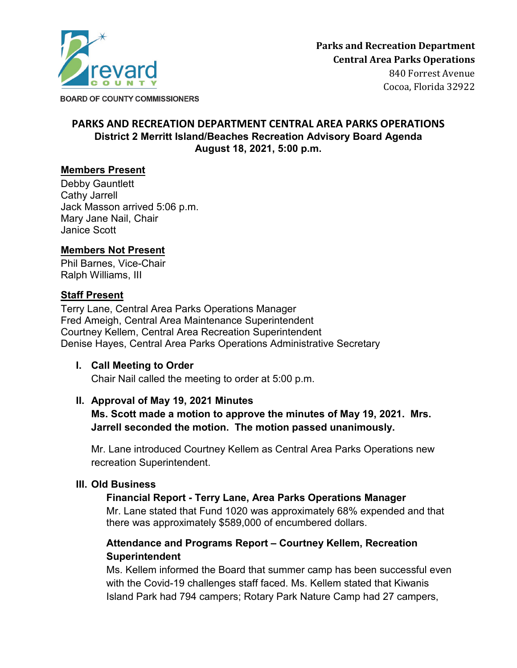

Cocoa, Florida 32922

**BOARD OF COUNTY COMMISSIONERS** 

## **PARKS AND RECREATION DEPARTMENT CENTRAL AREA PARKS OPERATIONS District 2 Merritt Island/Beaches Recreation Advisory Board Agenda August 18, 2021, 5:00 p.m.**

## **Members Present**

Debby Gauntlett Cathy Jarrell Jack Masson arrived 5:06 p.m. Mary Jane Nail, Chair Janice Scott

## **Members Not Present**

Phil Barnes, Vice-Chair Ralph Williams, III

### **Staff Present**

Terry Lane, Central Area Parks Operations Manager Fred Ameigh, Central Area Maintenance Superintendent Courtney Kellem, Central Area Recreation Superintendent Denise Hayes, Central Area Parks Operations Administrative Secretary

## **I. Call Meeting to Order**

Chair Nail called the meeting to order at 5:00 p.m.

## **II. Approval of May 19, 2021 Minutes**

**Ms. Scott made a motion to approve the minutes of May 19, 2021. Mrs. Jarrell seconded the motion. The motion passed unanimously.**

Mr. Lane introduced Courtney Kellem as Central Area Parks Operations new recreation Superintendent.

## **III. Old Business**

## **Financial Report - Terry Lane, Area Parks Operations Manager**

Mr. Lane stated that Fund 1020 was approximately 68% expended and that there was approximately \$589,000 of encumbered dollars.

## **Attendance and Programs Report – Courtney Kellem, Recreation Superintendent**

Ms. Kellem informed the Board that summer camp has been successful even with the Covid-19 challenges staff faced. Ms. Kellem stated that Kiwanis Island Park had 794 campers; Rotary Park Nature Camp had 27 campers,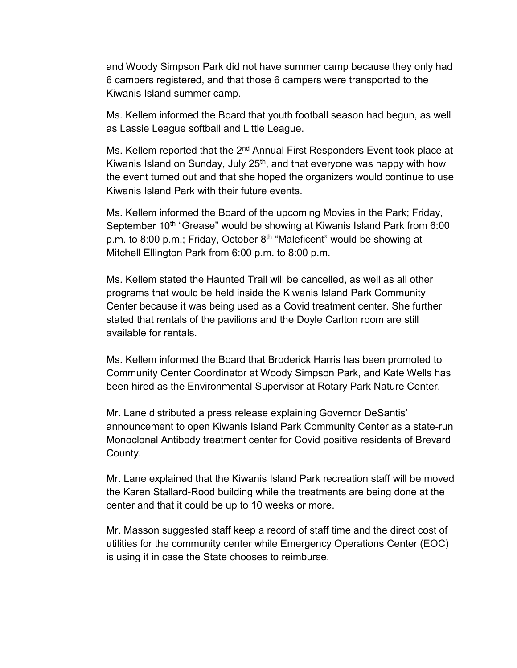and Woody Simpson Park did not have summer camp because they only had 6 campers registered, and that those 6 campers were transported to the Kiwanis Island summer camp.

Ms. Kellem informed the Board that youth football season had begun, as well as Lassie League softball and Little League.

Ms. Kellem reported that the 2<sup>nd</sup> Annual First Responders Event took place at Kiwanis Island on Sunday, July  $25<sup>th</sup>$ , and that everyone was happy with how the event turned out and that she hoped the organizers would continue to use Kiwanis Island Park with their future events.

Ms. Kellem informed the Board of the upcoming Movies in the Park; Friday, September 10<sup>th</sup> "Grease" would be showing at Kiwanis Island Park from 6:00 p.m. to 8:00 p.m.; Friday, October 8<sup>th</sup> "Maleficent" would be showing at Mitchell Ellington Park from 6:00 p.m. to 8:00 p.m.

Ms. Kellem stated the Haunted Trail will be cancelled, as well as all other programs that would be held inside the Kiwanis Island Park Community Center because it was being used as a Covid treatment center. She further stated that rentals of the pavilions and the Doyle Carlton room are still available for rentals.

Ms. Kellem informed the Board that Broderick Harris has been promoted to Community Center Coordinator at Woody Simpson Park, and Kate Wells has been hired as the Environmental Supervisor at Rotary Park Nature Center.

Mr. Lane distributed a press release explaining Governor DeSantis' announcement to open Kiwanis Island Park Community Center as a state-run Monoclonal Antibody treatment center for Covid positive residents of Brevard County.

Mr. Lane explained that the Kiwanis Island Park recreation staff will be moved the Karen Stallard-Rood building while the treatments are being done at the center and that it could be up to 10 weeks or more.

Mr. Masson suggested staff keep a record of staff time and the direct cost of utilities for the community center while Emergency Operations Center (EOC) is using it in case the State chooses to reimburse.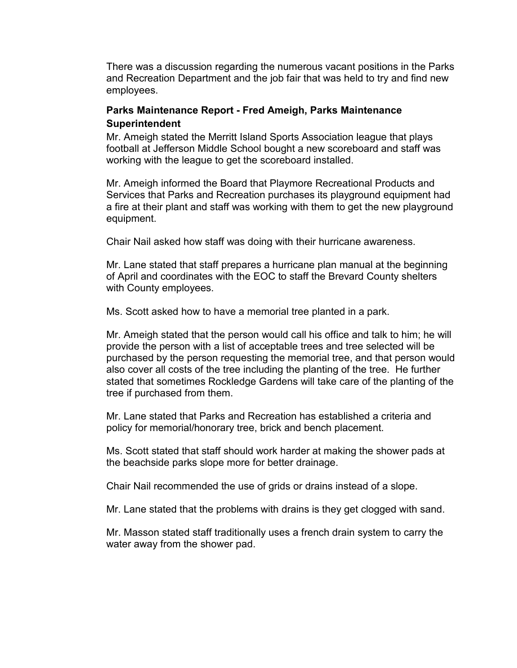There was a discussion regarding the numerous vacant positions in the Parks and Recreation Department and the job fair that was held to try and find new employees.

### **Parks Maintenance Report - Fred Ameigh, Parks Maintenance Superintendent**

Mr. Ameigh stated the Merritt Island Sports Association league that plays football at Jefferson Middle School bought a new scoreboard and staff was working with the league to get the scoreboard installed.

Mr. Ameigh informed the Board that Playmore Recreational Products and Services that Parks and Recreation purchases its playground equipment had a fire at their plant and staff was working with them to get the new playground equipment.

Chair Nail asked how staff was doing with their hurricane awareness.

Mr. Lane stated that staff prepares a hurricane plan manual at the beginning of April and coordinates with the EOC to staff the Brevard County shelters with County employees.

Ms. Scott asked how to have a memorial tree planted in a park.

Mr. Ameigh stated that the person would call his office and talk to him; he will provide the person with a list of acceptable trees and tree selected will be purchased by the person requesting the memorial tree, and that person would also cover all costs of the tree including the planting of the tree. He further stated that sometimes Rockledge Gardens will take care of the planting of the tree if purchased from them.

Mr. Lane stated that Parks and Recreation has established a criteria and policy for memorial/honorary tree, brick and bench placement.

Ms. Scott stated that staff should work harder at making the shower pads at the beachside parks slope more for better drainage.

Chair Nail recommended the use of grids or drains instead of a slope.

Mr. Lane stated that the problems with drains is they get clogged with sand.

Mr. Masson stated staff traditionally uses a french drain system to carry the water away from the shower pad.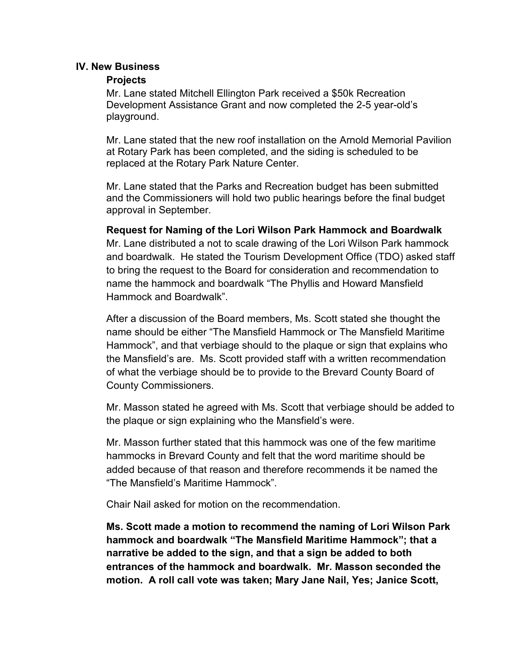#### **IV. New Business**

#### **Projects**

Mr. Lane stated Mitchell Ellington Park received a \$50k Recreation Development Assistance Grant and now completed the 2-5 year-old's playground.

Mr. Lane stated that the new roof installation on the Arnold Memorial Pavilion at Rotary Park has been completed, and the siding is scheduled to be replaced at the Rotary Park Nature Center.

Mr. Lane stated that the Parks and Recreation budget has been submitted and the Commissioners will hold two public hearings before the final budget approval in September.

#### **Request for Naming of the Lori Wilson Park Hammock and Boardwalk**

Mr. Lane distributed a not to scale drawing of the Lori Wilson Park hammock and boardwalk. He stated the Tourism Development Office (TDO) asked staff to bring the request to the Board for consideration and recommendation to name the hammock and boardwalk "The Phyllis and Howard Mansfield Hammock and Boardwalk".

After a discussion of the Board members, Ms. Scott stated she thought the name should be either "The Mansfield Hammock or The Mansfield Maritime Hammock", and that verbiage should to the plaque or sign that explains who the Mansfield's are. Ms. Scott provided staff with a written recommendation of what the verbiage should be to provide to the Brevard County Board of County Commissioners.

Mr. Masson stated he agreed with Ms. Scott that verbiage should be added to the plaque or sign explaining who the Mansfield's were.

Mr. Masson further stated that this hammock was one of the few maritime hammocks in Brevard County and felt that the word maritime should be added because of that reason and therefore recommends it be named the "The Mansfield's Maritime Hammock".

Chair Nail asked for motion on the recommendation.

**Ms. Scott made a motion to recommend the naming of Lori Wilson Park hammock and boardwalk "The Mansfield Maritime Hammock"; that a narrative be added to the sign, and that a sign be added to both entrances of the hammock and boardwalk. Mr. Masson seconded the motion. A roll call vote was taken; Mary Jane Nail, Yes; Janice Scott,**